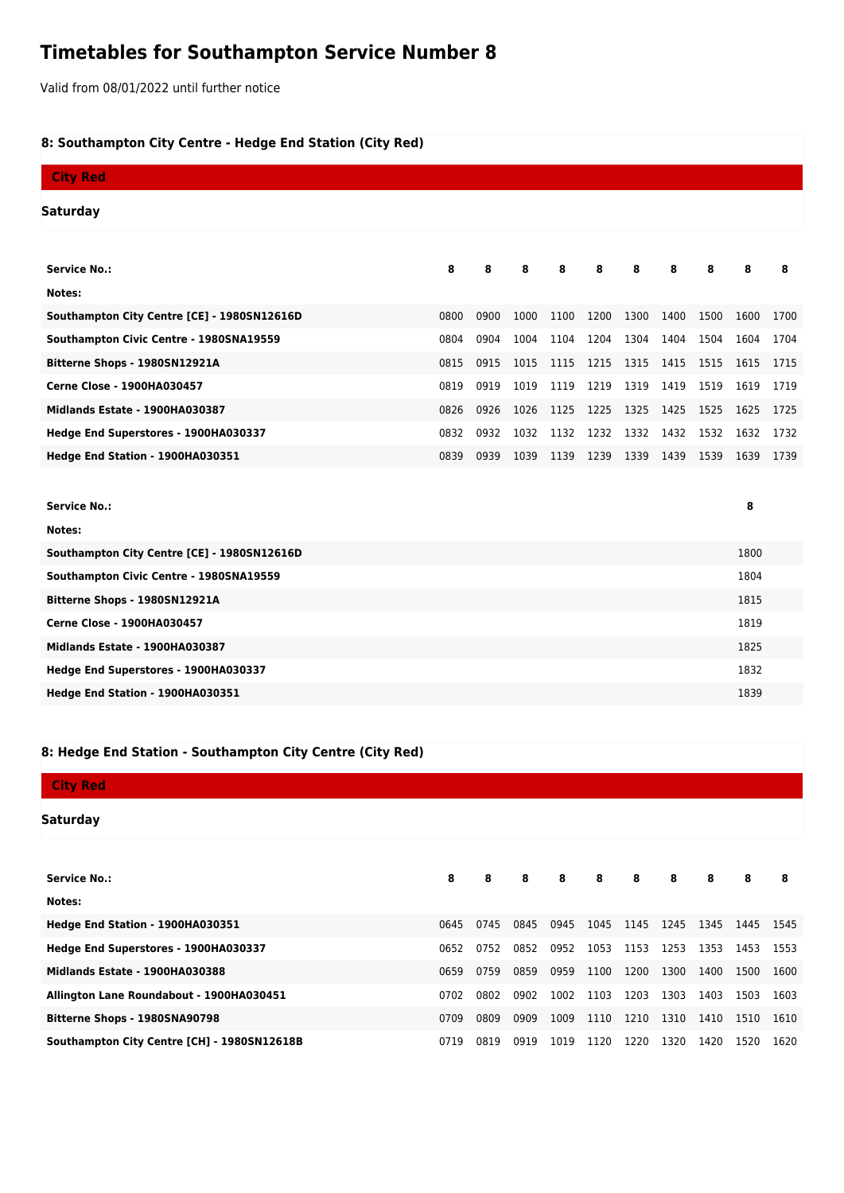## **Timetables for Southampton Service Number 8**

Valid from 08/01/2022 until further notice

## **8: Southampton City Centre - Hedge End Station (City Red)**

| <b>City Red</b>                             |      |      |      |      |      |      |      |      |      |      |
|---------------------------------------------|------|------|------|------|------|------|------|------|------|------|
|                                             |      |      |      |      |      |      |      |      |      |      |
| Saturday                                    |      |      |      |      |      |      |      |      |      |      |
|                                             |      |      |      |      |      |      |      |      |      |      |
| <b>Service No.:</b>                         | 8    | 8    | 8    | 8    | 8    | 8    | 8    | 8    | 8    | 8    |
| Notes:                                      |      |      |      |      |      |      |      |      |      |      |
| Southampton City Centre [CE] - 1980SN12616D | 0800 | 0900 | 1000 | 1100 | 1200 | 1300 | 1400 | 1500 | 1600 | 1700 |
| Southampton Civic Centre - 1980SNA19559     | 0804 | 0904 | 1004 | 1104 | 1204 | 1304 | 1404 | 1504 | 1604 | 1704 |
| Bitterne Shops - 1980SN12921A               | 0815 | 0915 | 1015 | 1115 | 1215 | 1315 | 1415 | 1515 | 1615 | 1715 |
| <b>Cerne Close - 1900HA030457</b>           | 0819 | 0919 | 1019 | 1119 | 1219 | 1319 | 1419 | 1519 | 1619 | 1719 |
| Midlands Estate - 1900HA030387              | 0826 | 0926 | 1026 | 1125 | 1225 | 1325 | 1425 | 1525 | 1625 | 1725 |
| Hedge End Superstores - 1900HA030337        | 0832 | 0932 | 1032 | 1132 | 1232 | 1332 | 1432 | 1532 | 1632 | 1732 |
| Hedge End Station - 1900HA030351            | 0839 | 0939 | 1039 | 1139 | 1239 | 1339 | 1439 | 1539 | 1639 | 1739 |
|                                             |      |      |      |      |      |      |      |      |      |      |
| <b>Service No.:</b>                         |      |      |      |      |      |      |      |      | 8    |      |
| Notes:                                      |      |      |      |      |      |      |      |      |      |      |
| Southampton City Centre [CE] - 1980SN12616D |      |      |      |      |      |      |      |      | 1800 |      |
| Southampton Civic Centre - 1980SNA19559     |      |      |      |      |      |      |      |      | 1804 |      |
| Bitterne Shops - 1980SN12921A               |      |      |      |      |      |      |      |      | 1815 |      |
| <b>Cerne Close - 1900HA030457</b>           |      |      |      |      |      |      |      |      | 1819 |      |
| Midlands Estate - 1900HA030387              |      |      |      |      |      |      |      |      | 1825 |      |
| Hedge End Superstores - 1900HA030337        |      |      |      |      |      |      |      |      | 1832 |      |
| Hedge End Station - 1900HA030351            |      |      |      |      |      |      |      |      | 1839 |      |

## **8: Hedge End Station - Southampton City Centre (City Red)**

| <b>City Red</b>                             |      |      |      |      |      |           |      |      |      |      |
|---------------------------------------------|------|------|------|------|------|-----------|------|------|------|------|
| Saturday                                    |      |      |      |      |      |           |      |      |      |      |
|                                             |      |      |      |      |      |           |      |      |      |      |
| <b>Service No.:</b>                         | 8    | 8    | 8    | 8    | 8    | 8         | 8    | 8    | 8    | 8    |
| Notes:                                      |      |      |      |      |      |           |      |      |      |      |
| Hedge End Station - 1900HA030351            | 0645 | 0745 | 0845 | 0945 | 1045 | 1145      | 1245 | 1345 | 1445 | 1545 |
| Hedge End Superstores - 1900HA030337        | 0652 | 0752 | 0852 | 0952 |      | 1053 1153 | 1253 | 1353 | 1453 | 1553 |
| Midlands Estate - 1900HA030388              | 0659 | 0759 | 0859 | 0959 | 1100 | 1200      | 1300 | 1400 | 1500 | 1600 |
| Allington Lane Roundabout - 1900HA030451    | 0702 | 0802 | 0902 | 1002 | 1103 | 1203      | 1303 | 1403 | 1503 | 1603 |
| Bitterne Shops - 1980SNA90798               | 0709 | 0809 | 0909 | 1009 | 1110 | 1210      | 1310 | 1410 | 1510 | 1610 |
| Southampton City Centre [CH] - 1980SN12618B | 0719 | 0819 | 0919 | 1019 | 1120 | 1220      | 1320 | 1420 | 1520 | 1620 |